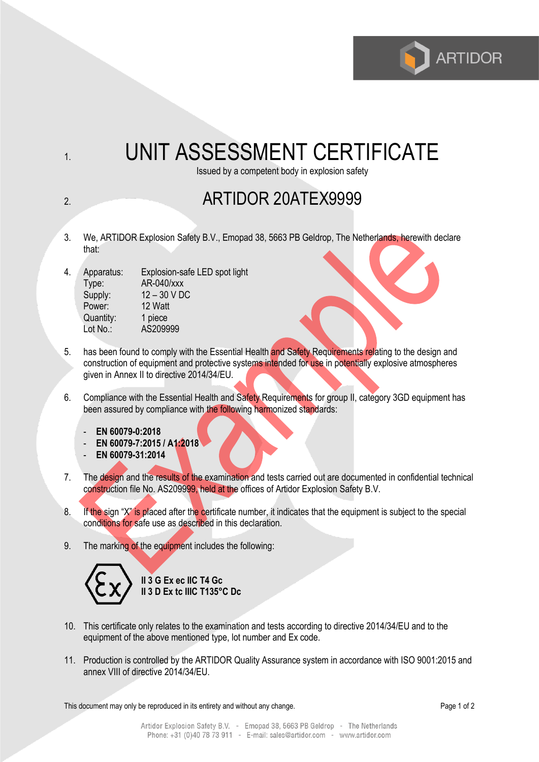

## 1. UNIT ASSESSMENT CERTIFICATE

Issued by a competent body in explosion safety

## 2. **ARTIDOR 20ATEX9999**

- 3. We, ARTIDOR Explosion Safety B.V., Emopad 38, 5663 PB Geldrop, The Netherlands, herewith declare that:
- 4. Apparatus: Explosion-safe LED spot light Type: AR-040/xxx Supply:  $12 - 30$  V DC Power: 12 Watt Quantity: 1 piece Lot No.: AS209999
- 5. has been found to comply with the Essential Health and Safety Requirements relating to the design and construction of equipment and protective systems intended for use in potentially explosive atmospheres given in Annex II to directive 2014/34/EU.
- 6. Compliance with the Essential Health and Safety Requirements for group II, category 3GD equipment has been assured by compliance with the following harmonized standards:
	- **EN 60079-0:2018**
	- **EN 60079-7:2015 / A1:2018**
	- **EN 60079-31:2014**
- 7. The design and the results of the examination and tests carried out are documented in confidential technical construction file No. AS209999, held at the offices of Artidor Explosion Safety B.V.
- 8. If the sign "X" is placed after the certificate number, it indicates that the equipment is subject to the special conditions for safe use as described in this declaration.
- 9. The marking of the equipment includes the following:



**II 3 G Ex ec IIC T4 Gc II 3 D Ex tc IIIC T135°C Dc**

- 10. This certificate only relates to the examination and tests according to directive 2014/34/EU and to the equipment of the above mentioned type, lot number and Ex code.
- 11. Production is controlled by the ARTIDOR Quality Assurance system in accordance with ISO 9001:2015 and annex VIII of directive 2014/34/EU.

This document may only be reproduced in its entirety and without any change. Page 1 of 2